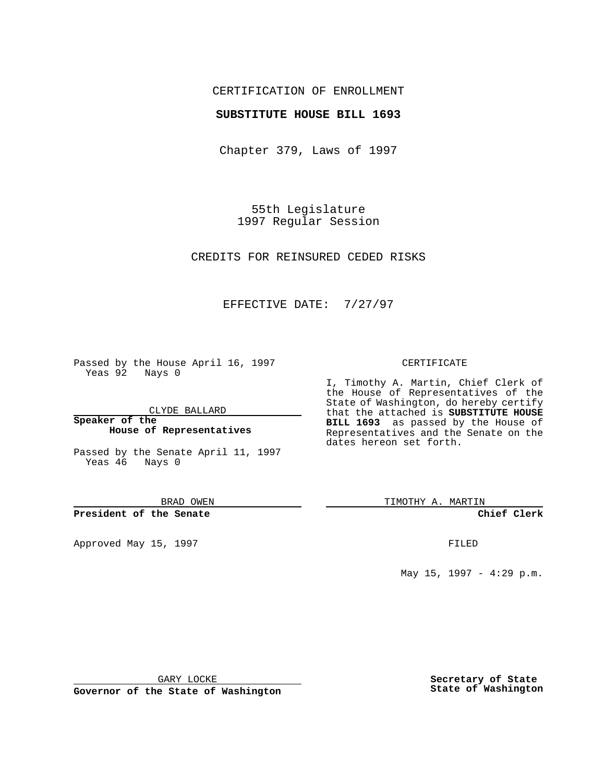## CERTIFICATION OF ENROLLMENT

### **SUBSTITUTE HOUSE BILL 1693**

Chapter 379, Laws of 1997

55th Legislature 1997 Regular Session

CREDITS FOR REINSURED CEDED RISKS

## EFFECTIVE DATE: 7/27/97

Passed by the House April 16, 1997 Yeas 92 Nays 0

CLYDE BALLARD

**Speaker of the House of Representatives**

Passed by the Senate April 11, 1997 Yeas 46 Nays 0

BRAD OWEN

**President of the Senate**

Approved May 15, 1997 **FILED** 

#### CERTIFICATE

I, Timothy A. Martin, Chief Clerk of the House of Representatives of the State of Washington, do hereby certify that the attached is **SUBSTITUTE HOUSE BILL 1693** as passed by the House of Representatives and the Senate on the dates hereon set forth.

TIMOTHY A. MARTIN

**Chief Clerk**

May 15, 1997 - 4:29 p.m.

GARY LOCKE

**Governor of the State of Washington**

**Secretary of State State of Washington**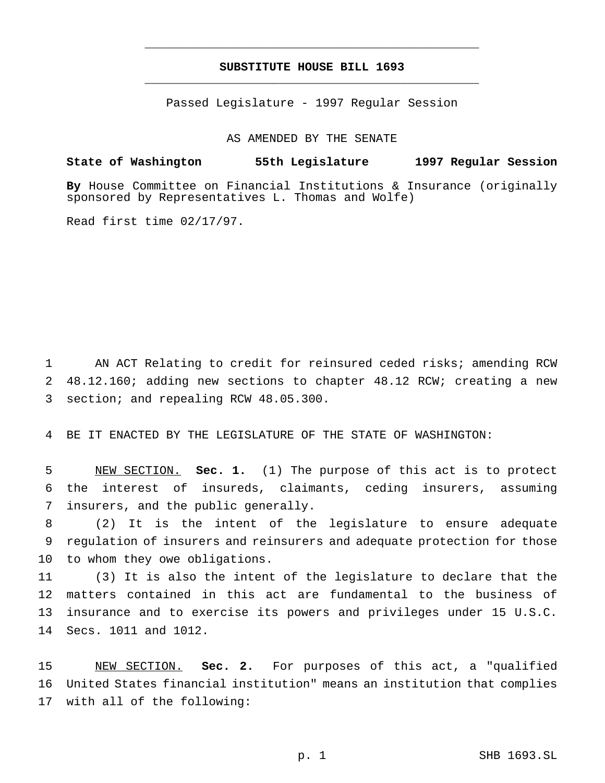# **SUBSTITUTE HOUSE BILL 1693** \_\_\_\_\_\_\_\_\_\_\_\_\_\_\_\_\_\_\_\_\_\_\_\_\_\_\_\_\_\_\_\_\_\_\_\_\_\_\_\_\_\_\_\_\_\_\_

\_\_\_\_\_\_\_\_\_\_\_\_\_\_\_\_\_\_\_\_\_\_\_\_\_\_\_\_\_\_\_\_\_\_\_\_\_\_\_\_\_\_\_\_\_\_\_

Passed Legislature - 1997 Regular Session

AS AMENDED BY THE SENATE

## **State of Washington 55th Legislature 1997 Regular Session**

**By** House Committee on Financial Institutions & Insurance (originally sponsored by Representatives L. Thomas and Wolfe)

Read first time 02/17/97.

1 AN ACT Relating to credit for reinsured ceded risks; amending RCW 2 48.12.160; adding new sections to chapter 48.12 RCW; creating a new 3 section; and repealing RCW 48.05.300.

4 BE IT ENACTED BY THE LEGISLATURE OF THE STATE OF WASHINGTON:

5 NEW SECTION. **Sec. 1.** (1) The purpose of this act is to protect 6 the interest of insureds, claimants, ceding insurers, assuming 7 insurers, and the public generally.

8 (2) It is the intent of the legislature to ensure adequate 9 regulation of insurers and reinsurers and adequate protection for those 10 to whom they owe obligations.

 (3) It is also the intent of the legislature to declare that the matters contained in this act are fundamental to the business of insurance and to exercise its powers and privileges under 15 U.S.C. Secs. 1011 and 1012.

15 NEW SECTION. **Sec. 2.** For purposes of this act, a "qualified 16 United States financial institution" means an institution that complies 17 with all of the following: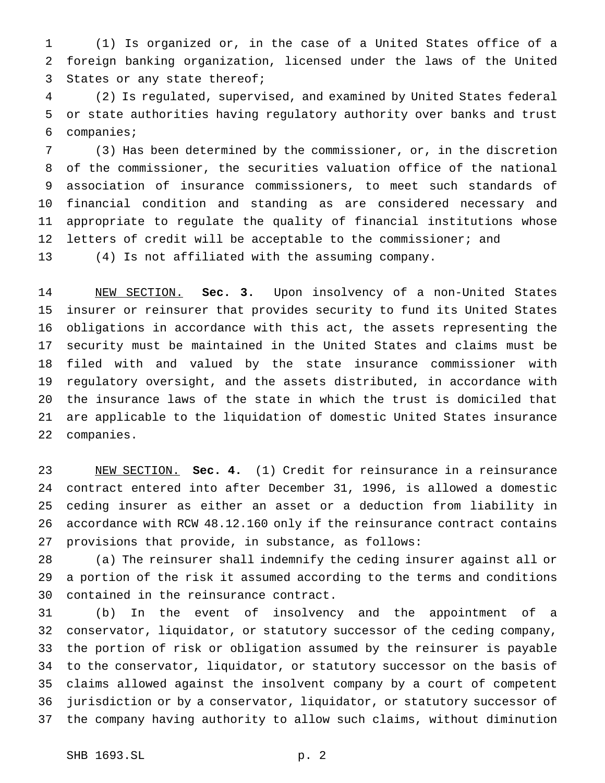(1) Is organized or, in the case of a United States office of a foreign banking organization, licensed under the laws of the United States or any state thereof;

 (2) Is regulated, supervised, and examined by United States federal or state authorities having regulatory authority over banks and trust companies;

 (3) Has been determined by the commissioner, or, in the discretion of the commissioner, the securities valuation office of the national association of insurance commissioners, to meet such standards of financial condition and standing as are considered necessary and appropriate to regulate the quality of financial institutions whose 12 letters of credit will be acceptable to the commissioner; and (4) Is not affiliated with the assuming company.

 NEW SECTION. **Sec. 3.** Upon insolvency of a non-United States insurer or reinsurer that provides security to fund its United States obligations in accordance with this act, the assets representing the security must be maintained in the United States and claims must be filed with and valued by the state insurance commissioner with regulatory oversight, and the assets distributed, in accordance with the insurance laws of the state in which the trust is domiciled that are applicable to the liquidation of domestic United States insurance companies.

 NEW SECTION. **Sec. 4.** (1) Credit for reinsurance in a reinsurance contract entered into after December 31, 1996, is allowed a domestic ceding insurer as either an asset or a deduction from liability in accordance with RCW 48.12.160 only if the reinsurance contract contains provisions that provide, in substance, as follows:

 (a) The reinsurer shall indemnify the ceding insurer against all or a portion of the risk it assumed according to the terms and conditions contained in the reinsurance contract.

 (b) In the event of insolvency and the appointment of a conservator, liquidator, or statutory successor of the ceding company, the portion of risk or obligation assumed by the reinsurer is payable to the conservator, liquidator, or statutory successor on the basis of claims allowed against the insolvent company by a court of competent jurisdiction or by a conservator, liquidator, or statutory successor of the company having authority to allow such claims, without diminution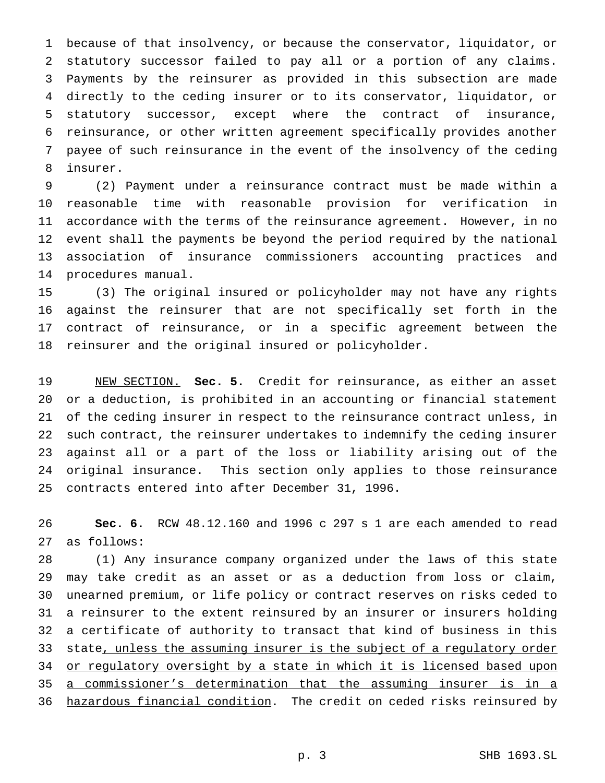because of that insolvency, or because the conservator, liquidator, or statutory successor failed to pay all or a portion of any claims. Payments by the reinsurer as provided in this subsection are made directly to the ceding insurer or to its conservator, liquidator, or statutory successor, except where the contract of insurance, reinsurance, or other written agreement specifically provides another payee of such reinsurance in the event of the insolvency of the ceding insurer.

 (2) Payment under a reinsurance contract must be made within a reasonable time with reasonable provision for verification in accordance with the terms of the reinsurance agreement. However, in no event shall the payments be beyond the period required by the national association of insurance commissioners accounting practices and procedures manual.

 (3) The original insured or policyholder may not have any rights against the reinsurer that are not specifically set forth in the contract of reinsurance, or in a specific agreement between the reinsurer and the original insured or policyholder.

 NEW SECTION. **Sec. 5.** Credit for reinsurance, as either an asset or a deduction, is prohibited in an accounting or financial statement of the ceding insurer in respect to the reinsurance contract unless, in such contract, the reinsurer undertakes to indemnify the ceding insurer against all or a part of the loss or liability arising out of the original insurance. This section only applies to those reinsurance contracts entered into after December 31, 1996.

 **Sec. 6.** RCW 48.12.160 and 1996 c 297 s 1 are each amended to read as follows:

 (1) Any insurance company organized under the laws of this state may take credit as an asset or as a deduction from loss or claim, unearned premium, or life policy or contract reserves on risks ceded to a reinsurer to the extent reinsured by an insurer or insurers holding a certificate of authority to transact that kind of business in this state, unless the assuming insurer is the subject of a regulatory order 34 or regulatory oversight by a state in which it is licensed based upon a commissioner's determination that the assuming insurer is in a 36 hazardous financial condition. The credit on ceded risks reinsured by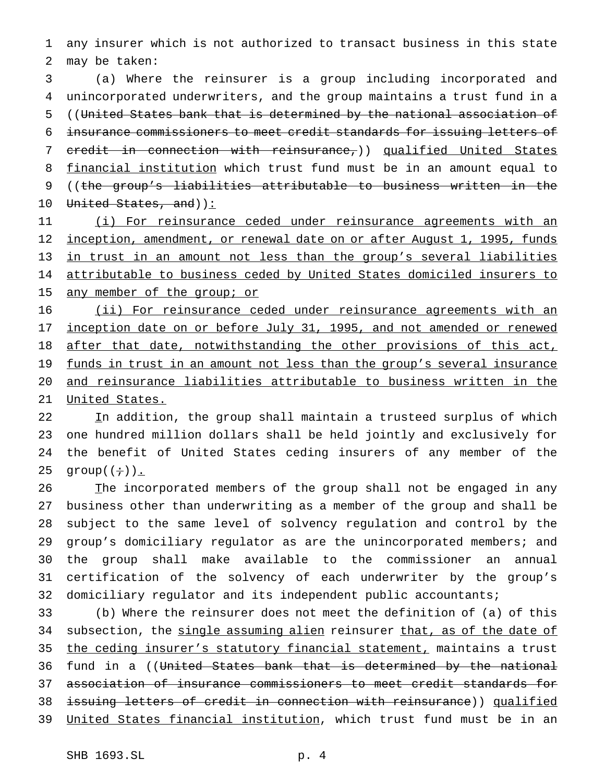any insurer which is not authorized to transact business in this state may be taken:

 (a) Where the reinsurer is a group including incorporated and unincorporated underwriters, and the group maintains a trust fund in a ((United States bank that is determined by the national association of insurance commissioners to meet credit standards for issuing letters of credit in connection with reinsurance,)) qualified United States 8 financial institution which trust fund must be in an amount equal to ((the group's liabilities attributable to business written in the 10 United States, and)):

 (i) For reinsurance ceded under reinsurance agreements with an 12 inception, amendment, or renewal date on or after August 1, 1995, funds in trust in an amount not less than the group's several liabilities attributable to business ceded by United States domiciled insurers to 15 any member of the group; or

 (ii) For reinsurance ceded under reinsurance agreements with an 17 inception date on or before July 31, 1995, and not amended or renewed 18 after that date, notwithstanding the other provisions of this act, 19 funds in trust in an amount not less than the group's several insurance and reinsurance liabilities attributable to business written in the United States.

22 In addition, the group shall maintain a trusteed surplus of which one hundred million dollars shall be held jointly and exclusively for the benefit of United States ceding insurers of any member of the 25 group $((\div))$ .

26 The incorporated members of the group shall not be engaged in any business other than underwriting as a member of the group and shall be subject to the same level of solvency regulation and control by the group's domiciliary regulator as are the unincorporated members; and the group shall make available to the commissioner an annual certification of the solvency of each underwriter by the group's domiciliary regulator and its independent public accountants;

 (b) Where the reinsurer does not meet the definition of (a) of this 34 subsection, the single assuming alien reinsurer that, as of the date of the ceding insurer's statutory financial statement, maintains a trust 36 fund in a ((United States bank that is determined by the national association of insurance commissioners to meet credit standards for issuing letters of credit in connection with reinsurance)) qualified United States financial institution, which trust fund must be in an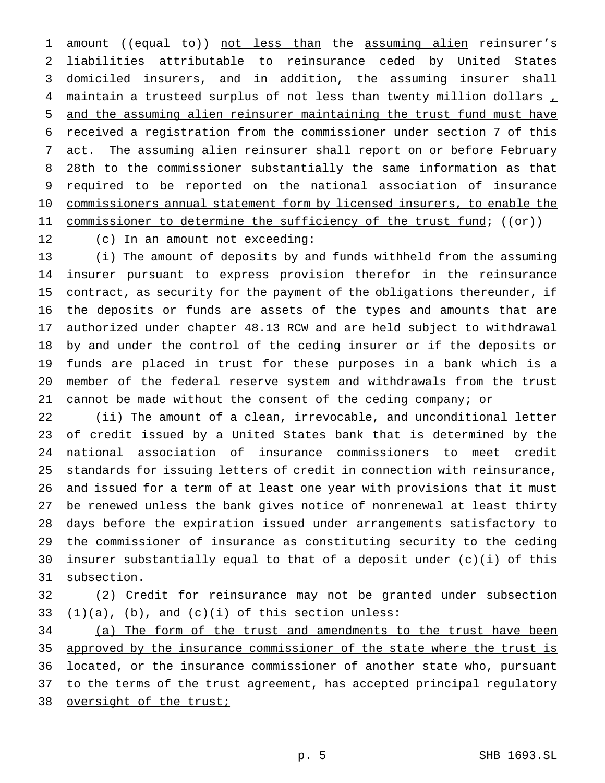1 amount ((equal to)) not less than the assuming alien reinsurer's liabilities attributable to reinsurance ceded by United States domiciled insurers, and in addition, the assuming insurer shall 4 maintain a trusteed surplus of not less than twenty million dollars  $<sub>L</sub>$ </sub> and the assuming alien reinsurer maintaining the trust fund must have received a registration from the commissioner under section 7 of this 7 act. The assuming alien reinsurer shall report on or before February 8 28th to the commissioner substantially the same information as that required to be reported on the national association of insurance commissioners annual statement form by licensed insurers, to enable the 11 commissioner to determine the sufficiency of the trust fund; ((or)) (c) In an amount not exceeding:

 (i) The amount of deposits by and funds withheld from the assuming insurer pursuant to express provision therefor in the reinsurance contract, as security for the payment of the obligations thereunder, if the deposits or funds are assets of the types and amounts that are authorized under chapter 48.13 RCW and are held subject to withdrawal by and under the control of the ceding insurer or if the deposits or funds are placed in trust for these purposes in a bank which is a member of the federal reserve system and withdrawals from the trust cannot be made without the consent of the ceding company; or

 (ii) The amount of a clean, irrevocable, and unconditional letter of credit issued by a United States bank that is determined by the national association of insurance commissioners to meet credit standards for issuing letters of credit in connection with reinsurance, and issued for a term of at least one year with provisions that it must be renewed unless the bank gives notice of nonrenewal at least thirty days before the expiration issued under arrangements satisfactory to the commissioner of insurance as constituting security to the ceding insurer substantially equal to that of a deposit under (c)(i) of this subsection.

 (2) Credit for reinsurance may not be granted under subsection 33  $(1)(a)$ ,  $(b)$ , and  $(c)(i)$  of this section unless:

 (a) The form of the trust and amendments to the trust have been approved by the insurance commissioner of the state where the trust is 36 located, or the insurance commissioner of another state who, pursuant 37 to the terms of the trust agreement, has accepted principal regulatory 38 oversight of the trust;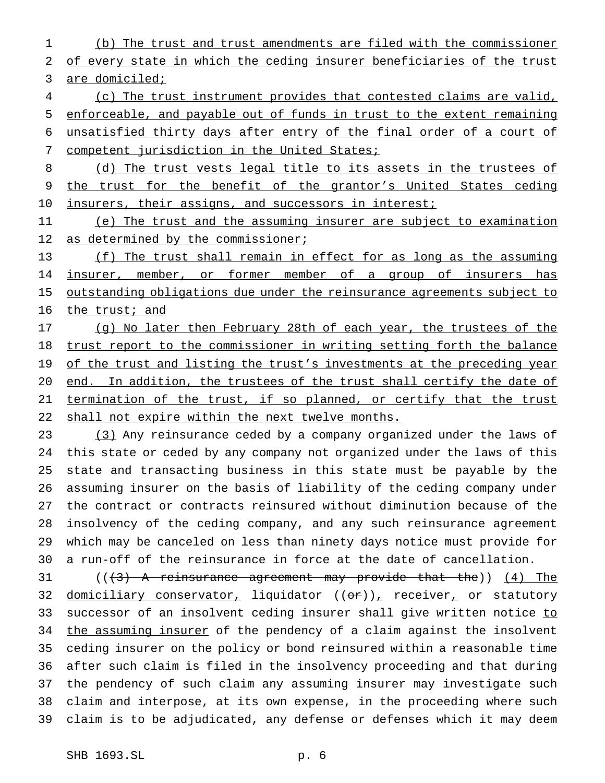(b) The trust and trust amendments are filed with the commissioner of every state in which the ceding insurer beneficiaries of the trust

3 are domiciled;

 (c) The trust instrument provides that contested claims are valid, enforceable, and payable out of funds in trust to the extent remaining unsatisfied thirty days after entry of the final order of a court of 7 competent jurisdiction in the United States;

8 (d) The trust vests legal title to its assets in the trustees of the trust for the benefit of the grantor's United States ceding 10 insurers, their assigns, and successors in interest;

 (e) The trust and the assuming insurer are subject to examination 12 as determined by the commissioner;

 (f) The trust shall remain in effect for as long as the assuming 14 insurer, member, or former member of a group of insurers has 15 outstanding obligations due under the reinsurance agreements subject to 16 the trust; and

17 (g) No later then February 28th of each year, the trustees of the 18 trust report to the commissioner in writing setting forth the balance 19 of the trust and listing the trust's investments at the preceding year end. In addition, the trustees of the trust shall certify the date of termination of the trust, if so planned, or certify that the trust shall not expire within the next twelve months.

 (3) Any reinsurance ceded by a company organized under the laws of this state or ceded by any company not organized under the laws of this state and transacting business in this state must be payable by the assuming insurer on the basis of liability of the ceding company under the contract or contracts reinsured without diminution because of the insolvency of the ceding company, and any such reinsurance agreement which may be canceled on less than ninety days notice must provide for a run-off of the reinsurance in force at the date of cancellation.

 $((3)$  A reinsurance agreement may provide that the)) (4) The 32 domiciliary conservator, liquidator  $((or))_+$  receiver, or statutory 33 successor of an insolvent ceding insurer shall give written notice to 34 the assuming insurer of the pendency of a claim against the insolvent ceding insurer on the policy or bond reinsured within a reasonable time after such claim is filed in the insolvency proceeding and that during the pendency of such claim any assuming insurer may investigate such claim and interpose, at its own expense, in the proceeding where such claim is to be adjudicated, any defense or defenses which it may deem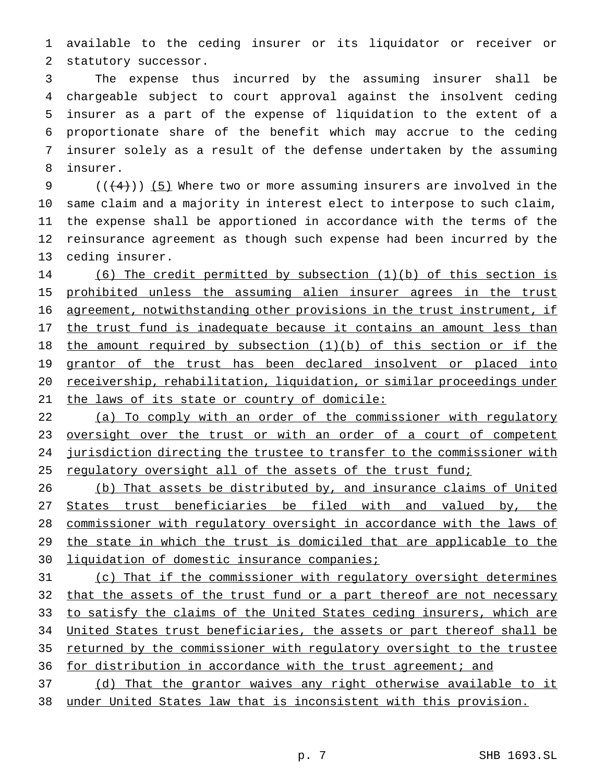available to the ceding insurer or its liquidator or receiver or statutory successor.

 The expense thus incurred by the assuming insurer shall be chargeable subject to court approval against the insolvent ceding insurer as a part of the expense of liquidation to the extent of a proportionate share of the benefit which may accrue to the ceding insurer solely as a result of the defense undertaken by the assuming insurer.

9 ( $(\frac{4}{4})$ ) (5) Where two or more assuming insurers are involved in the same claim and a majority in interest elect to interpose to such claim, the expense shall be apportioned in accordance with the terms of the reinsurance agreement as though such expense had been incurred by the ceding insurer.

 (6) The credit permitted by subsection (1)(b) of this section is 15 prohibited unless the assuming alien insurer agrees in the trust agreement, notwithstanding other provisions in the trust instrument, if the trust fund is inadequate because it contains an amount less than the amount required by subsection (1)(b) of this section or if the 19 grantor of the trust has been declared insolvent or placed into receivership, rehabilitation, liquidation, or similar proceedings under the laws of its state or country of domicile:

 (a) To comply with an order of the commissioner with regulatory 23 oversight over the trust or with an order of a court of competent jurisdiction directing the trustee to transfer to the commissioner with 25 regulatory oversight all of the assets of the trust fund;

 (b) That assets be distributed by, and insurance claims of United 27 States trust beneficiaries be filed with and valued by, the commissioner with regulatory oversight in accordance with the laws of 29 the state in which the trust is domiciled that are applicable to the 30 liquidation of domestic insurance companies;

 (c) That if the commissioner with regulatory oversight determines 32 that the assets of the trust fund or a part thereof are not necessary 33 to satisfy the claims of the United States ceding insurers, which are 34 United States trust beneficiaries, the assets or part thereof shall be returned by the commissioner with regulatory oversight to the trustee 36 for distribution in accordance with the trust agreement; and

 (d) That the grantor waives any right otherwise available to it under United States law that is inconsistent with this provision.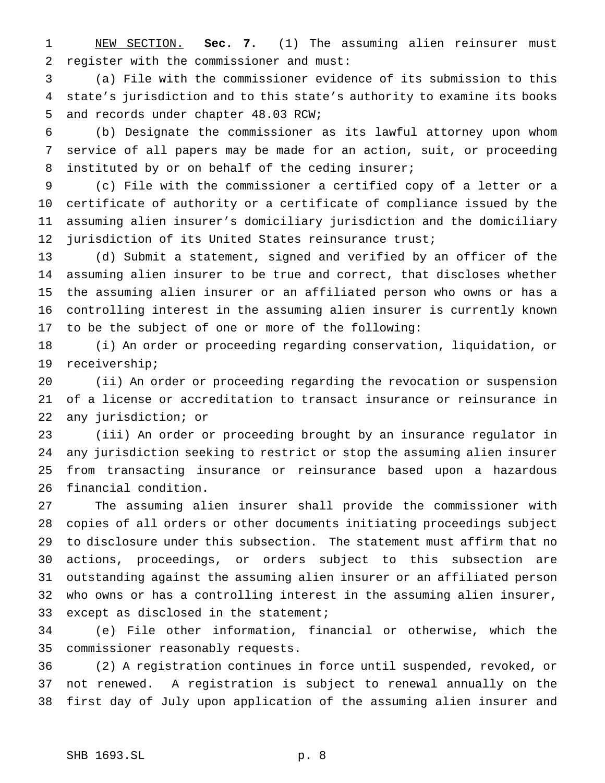NEW SECTION. **Sec. 7.** (1) The assuming alien reinsurer must register with the commissioner and must:

 (a) File with the commissioner evidence of its submission to this state's jurisdiction and to this state's authority to examine its books and records under chapter 48.03 RCW;

 (b) Designate the commissioner as its lawful attorney upon whom service of all papers may be made for an action, suit, or proceeding instituted by or on behalf of the ceding insurer;

 (c) File with the commissioner a certified copy of a letter or a certificate of authority or a certificate of compliance issued by the assuming alien insurer's domiciliary jurisdiction and the domiciliary 12 jurisdiction of its United States reinsurance trust;

 (d) Submit a statement, signed and verified by an officer of the assuming alien insurer to be true and correct, that discloses whether the assuming alien insurer or an affiliated person who owns or has a controlling interest in the assuming alien insurer is currently known to be the subject of one or more of the following:

 (i) An order or proceeding regarding conservation, liquidation, or receivership;

 (ii) An order or proceeding regarding the revocation or suspension of a license or accreditation to transact insurance or reinsurance in any jurisdiction; or

 (iii) An order or proceeding brought by an insurance regulator in any jurisdiction seeking to restrict or stop the assuming alien insurer from transacting insurance or reinsurance based upon a hazardous financial condition.

 The assuming alien insurer shall provide the commissioner with copies of all orders or other documents initiating proceedings subject to disclosure under this subsection. The statement must affirm that no actions, proceedings, or orders subject to this subsection are outstanding against the assuming alien insurer or an affiliated person who owns or has a controlling interest in the assuming alien insurer, 33 except as disclosed in the statement;

 (e) File other information, financial or otherwise, which the commissioner reasonably requests.

 (2) A registration continues in force until suspended, revoked, or not renewed. A registration is subject to renewal annually on the first day of July upon application of the assuming alien insurer and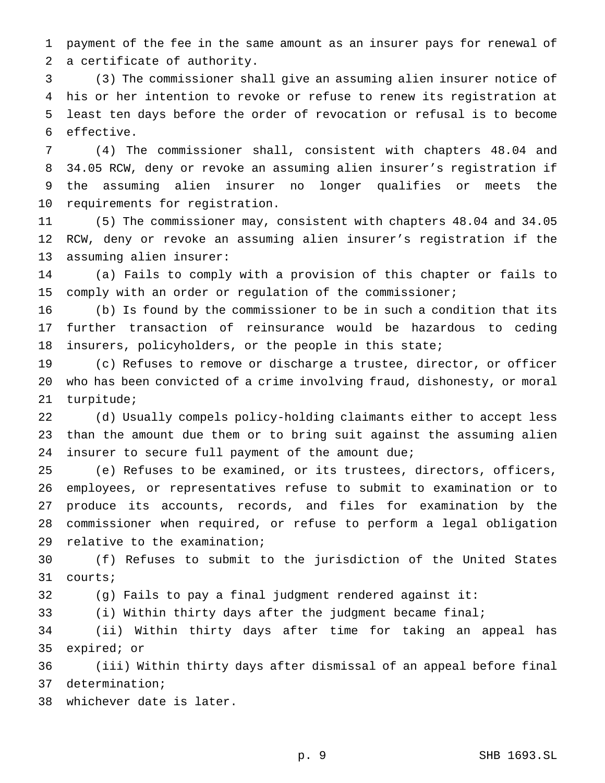payment of the fee in the same amount as an insurer pays for renewal of a certificate of authority.

 (3) The commissioner shall give an assuming alien insurer notice of his or her intention to revoke or refuse to renew its registration at least ten days before the order of revocation or refusal is to become effective.

 (4) The commissioner shall, consistent with chapters 48.04 and 34.05 RCW, deny or revoke an assuming alien insurer's registration if the assuming alien insurer no longer qualifies or meets the requirements for registration.

 (5) The commissioner may, consistent with chapters 48.04 and 34.05 RCW, deny or revoke an assuming alien insurer's registration if the assuming alien insurer:

 (a) Fails to comply with a provision of this chapter or fails to comply with an order or regulation of the commissioner;

 (b) Is found by the commissioner to be in such a condition that its further transaction of reinsurance would be hazardous to ceding insurers, policyholders, or the people in this state;

 (c) Refuses to remove or discharge a trustee, director, or officer who has been convicted of a crime involving fraud, dishonesty, or moral turpitude;

 (d) Usually compels policy-holding claimants either to accept less than the amount due them or to bring suit against the assuming alien insurer to secure full payment of the amount due;

 (e) Refuses to be examined, or its trustees, directors, officers, employees, or representatives refuse to submit to examination or to produce its accounts, records, and files for examination by the commissioner when required, or refuse to perform a legal obligation relative to the examination;

 (f) Refuses to submit to the jurisdiction of the United States courts;

(g) Fails to pay a final judgment rendered against it:

(i) Within thirty days after the judgment became final;

 (ii) Within thirty days after time for taking an appeal has expired; or

 (iii) Within thirty days after dismissal of an appeal before final determination;

whichever date is later.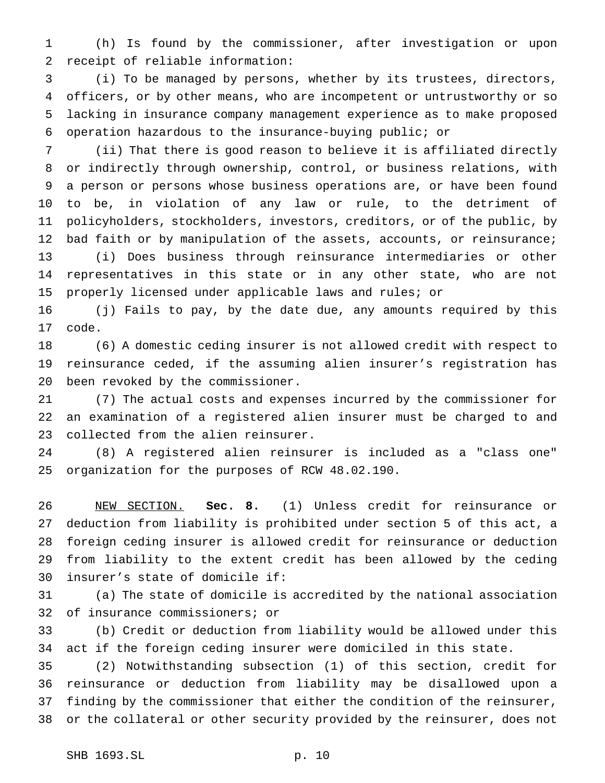(h) Is found by the commissioner, after investigation or upon receipt of reliable information:

 (i) To be managed by persons, whether by its trustees, directors, officers, or by other means, who are incompetent or untrustworthy or so lacking in insurance company management experience as to make proposed operation hazardous to the insurance-buying public; or

 (ii) That there is good reason to believe it is affiliated directly or indirectly through ownership, control, or business relations, with a person or persons whose business operations are, or have been found to be, in violation of any law or rule, to the detriment of policyholders, stockholders, investors, creditors, or of the public, by 12 bad faith or by manipulation of the assets, accounts, or reinsurance; (i) Does business through reinsurance intermediaries or other representatives in this state or in any other state, who are not properly licensed under applicable laws and rules; or

 (j) Fails to pay, by the date due, any amounts required by this code.

 (6) A domestic ceding insurer is not allowed credit with respect to reinsurance ceded, if the assuming alien insurer's registration has been revoked by the commissioner.

 (7) The actual costs and expenses incurred by the commissioner for an examination of a registered alien insurer must be charged to and collected from the alien reinsurer.

 (8) A registered alien reinsurer is included as a "class one" organization for the purposes of RCW 48.02.190.

 NEW SECTION. **Sec. 8.** (1) Unless credit for reinsurance or deduction from liability is prohibited under section 5 of this act, a foreign ceding insurer is allowed credit for reinsurance or deduction from liability to the extent credit has been allowed by the ceding insurer's state of domicile if:

 (a) The state of domicile is accredited by the national association of insurance commissioners; or

 (b) Credit or deduction from liability would be allowed under this act if the foreign ceding insurer were domiciled in this state.

 (2) Notwithstanding subsection (1) of this section, credit for reinsurance or deduction from liability may be disallowed upon a finding by the commissioner that either the condition of the reinsurer, or the collateral or other security provided by the reinsurer, does not